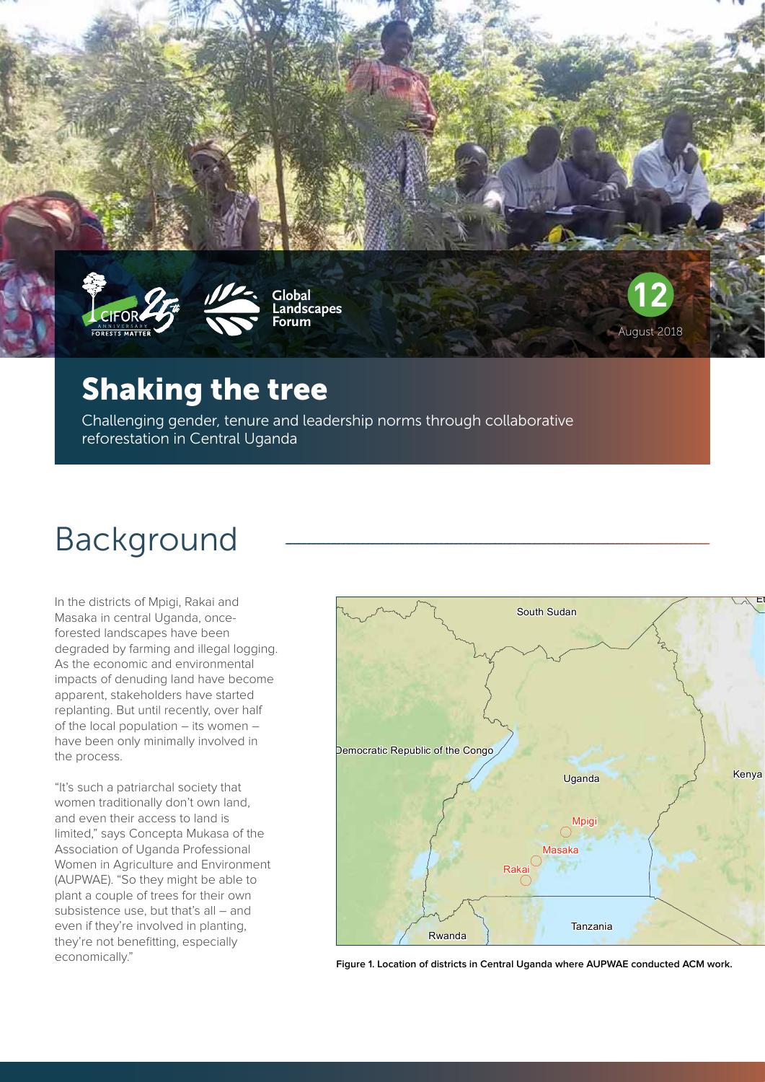

### Shaking the tree

Challenging gender, tenure and leadership norms through collaborative reforestation in Central Uganda

# Background

In the districts of Mpigi, Rakai and Masaka in central Uganda, onceforested landscapes have been degraded by farming and illegal logging. As the economic and environmental impacts of denuding land have become apparent, stakeholders have started replanting. But until recently, over half of the local population – its women – have been only minimally involved in the process.

"It's such a patriarchal society that women traditionally don't own land, and even their access to land is limited," says Concepta Mukasa of the Association of Uganda Professional Women in Agriculture and Environment (AUPWAE). "So they might be able to plant a couple of trees for their own subsistence use, but that's all – and even if they're involved in planting, they're not benefitting, especially economically."



August 2018

**Figure 1. Location of districts in Central Uganda where AUPWAE conducted ACM work.**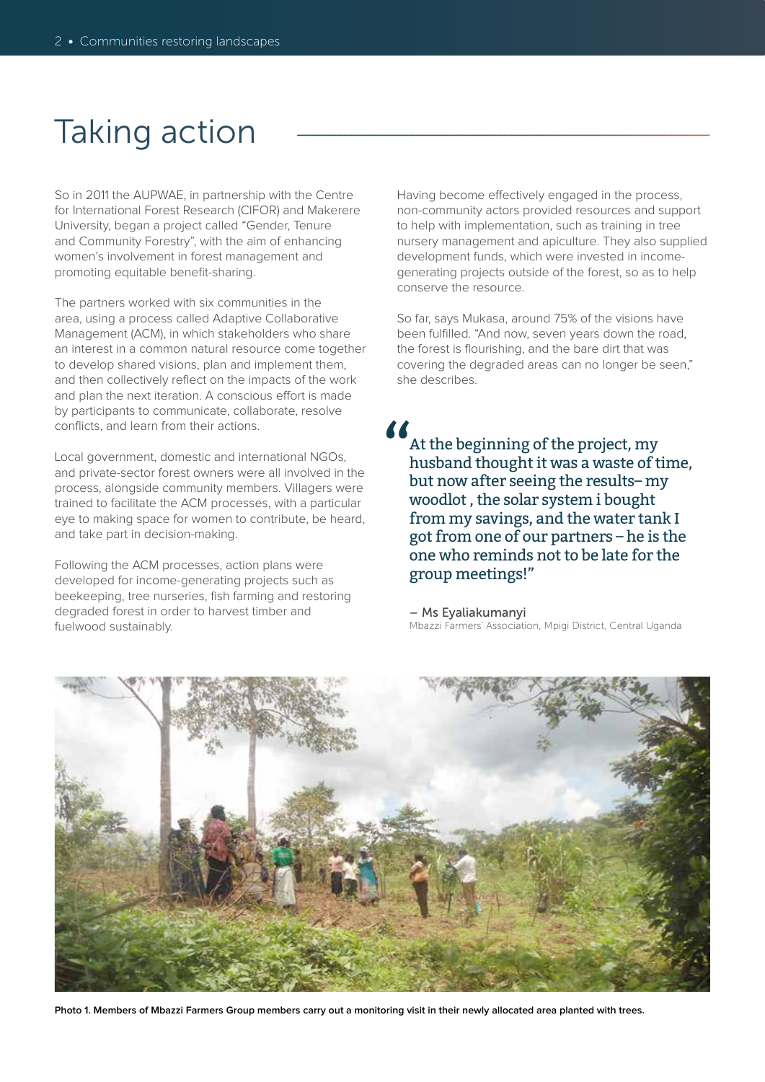## Taking action

So in 2011 the AUPWAE, in partnership with the Centre for International Forest Research (CIFOR) and Makerere University, began a project called "Gender, Tenure and Community Forestry", with the aim of enhancing women's involvement in forest management and promoting equitable benefit-sharing.

The partners worked with six communities in the area, using a process called Adaptive Collaborative Management (ACM), in which stakeholders who share an interest in a common natural resource come together to develop shared visions, plan and implement them, and then collectively reflect on the impacts of the work and plan the next iteration. A conscious effort is made by participants to communicate, collaborate, resolve conflicts, and learn from their actions.

Local government, domestic and international NGOs, and private-sector forest owners were all involved in the process, alongside community members. Villagers were trained to facilitate the ACM processes, with a particular eye to making space for women to contribute, be heard, and take part in decision-making.

Following the ACM processes, action plans were developed for income-generating projects such as beekeeping, tree nurseries, fish farming and restoring degraded forest in order to harvest timber and fuelwood sustainably.

Having become effectively engaged in the process, non-community actors provided resources and support to help with implementation, such as training in tree nursery management and apiculture. They also supplied development funds, which were invested in incomegenerating projects outside of the forest, so as to help conserve the resource.

So far, says Mukasa, around 75% of the visions have been fulfilled. "And now, seven years down the road, the forest is flourishing, and the bare dirt that was covering the degraded areas can no longer be seen," she describes.

At the beginning of the project, my husband thought it was a waste of time, but now after seeing the results– my woodlot , the solar system i bought from my savings, and the water tank I got from one of our partners – he is the one who reminds not to be late for the group meetings!"  $\frac{\mathcal{L}}{\mathcal{L}}$ 

– Ms Eyaliakumanyi Mbazzi Farmers' Association, Mpigi District, Central Uganda



**Photo 1. Members of Mbazzi Farmers Group members carry out a monitoring visit in their newly allocated area planted with trees.**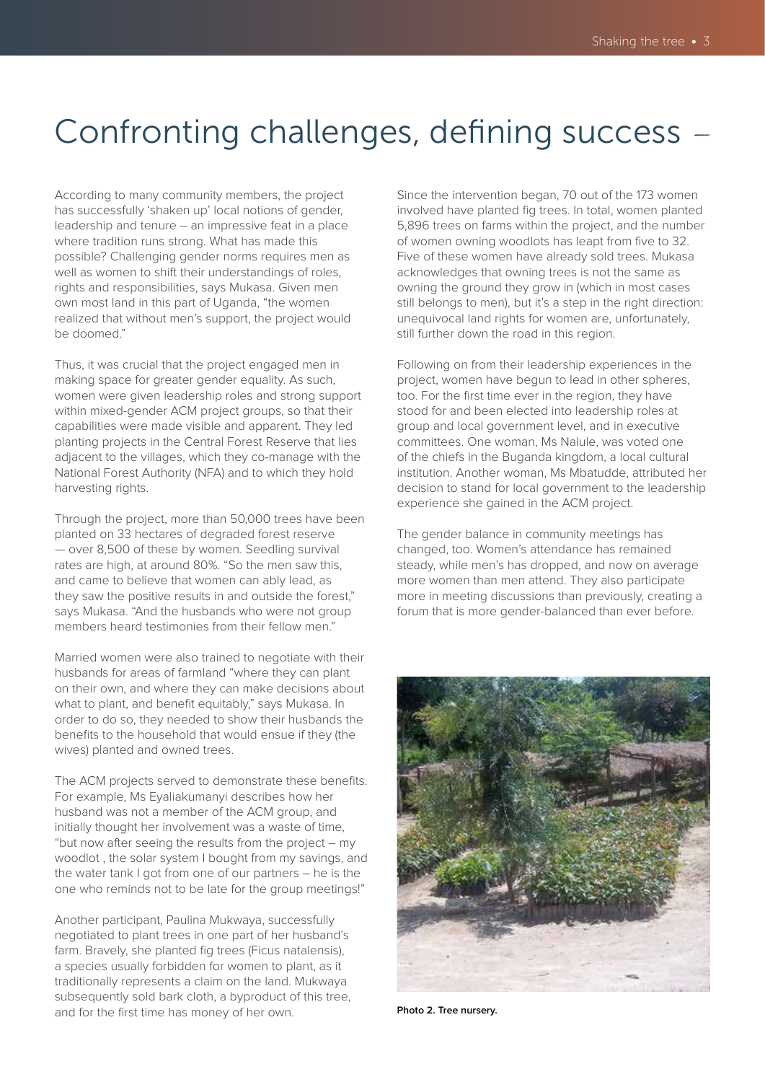## Confronting challenges, defining success

According to many community members, the project has successfully 'shaken up' local notions of gender, leadership and tenure – an impressive feat in a place where tradition runs strong. What has made this possible? Challenging gender norms requires men as well as women to shift their understandings of roles, rights and responsibilities, says Mukasa. Given men own most land in this part of Uganda, "the women realized that without men's support, the project would be doomed."

Thus, it was crucial that the project engaged men in making space for greater gender equality. As such, women were given leadership roles and strong support within mixed-gender ACM project groups, so that their capabilities were made visible and apparent. They led planting projects in the Central Forest Reserve that lies adjacent to the villages, which they co-manage with the National Forest Authority (NFA) and to which they hold harvesting rights.

Through the project, more than 50,000 trees have been planted on 33 hectares of degraded forest reserve — over 8,500 of these by women. Seedling survival rates are high, at around 80%. "So the men saw this, and came to believe that women can ably lead, as they saw the positive results in and outside the forest," says Mukasa. "And the husbands who were not group members heard testimonies from their fellow men."

Married women were also trained to negotiate with their husbands for areas of farmland "where they can plant on their own, and where they can make decisions about what to plant, and benefit equitably," says Mukasa. In order to do so, they needed to show their husbands the benefits to the household that would ensue if they (the wives) planted and owned trees.

The ACM projects served to demonstrate these benefits. For example, Ms Eyaliakumanyi describes how her husband was not a member of the ACM group, and initially thought her involvement was a waste of time, "but now after seeing the results from the project – my woodlot , the solar system I bought from my savings, and the water tank I got from one of our partners – he is the one who reminds not to be late for the group meetings!"

Another participant, Paulina Mukwaya, successfully negotiated to plant trees in one part of her husband's farm. Bravely, she planted fig trees (Ficus natalensis), a species usually forbidden for women to plant, as it traditionally represents a claim on the land. Mukwaya subsequently sold bark cloth, a byproduct of this tree, and for the first time has money of her own.

Since the intervention began, 70 out of the 173 women involved have planted fig trees. In total, women planted 5,896 trees on farms within the project, and the number of women owning woodlots has leapt from five to 32. Five of these women have already sold trees. Mukasa acknowledges that owning trees is not the same as owning the ground they grow in (which in most cases still belongs to men), but it's a step in the right direction: unequivocal land rights for women are, unfortunately, still further down the road in this region.

Following on from their leadership experiences in the project, women have begun to lead in other spheres, too. For the first time ever in the region, they have stood for and been elected into leadership roles at group and local government level, and in executive committees. One woman, Ms Nalule, was voted one of the chiefs in the Buganda kingdom, a local cultural institution. Another woman, Ms Mbatudde, attributed her decision to stand for local government to the leadership experience she gained in the ACM project.

The gender balance in community meetings has changed, too. Women's attendance has remained steady, while men's has dropped, and now on average more women than men attend. They also participate more in meeting discussions than previously, creating a forum that is more gender-balanced than ever before.



**Photo 2. Tree nursery.**